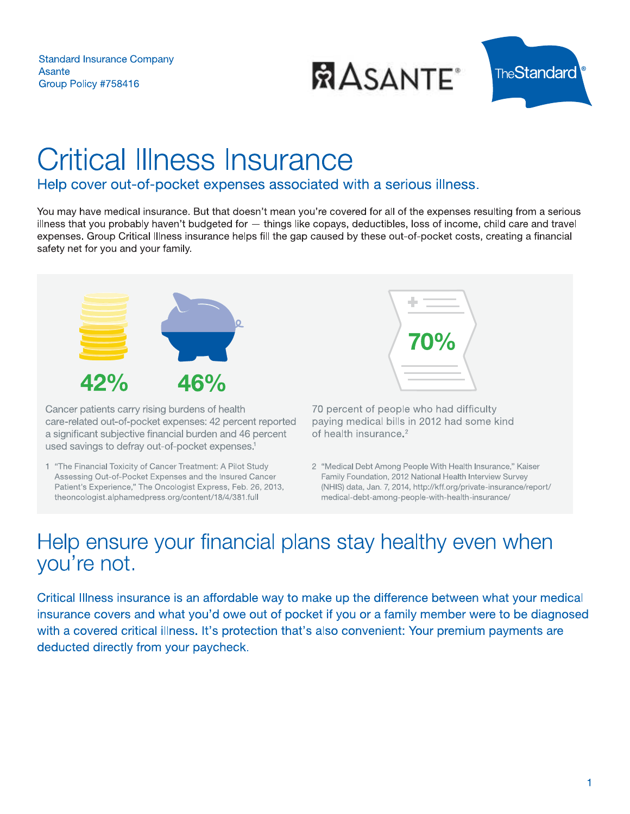

# over out-of-pocket expenses associated with a serious lilness.

You may have medical insurance. But that doesn't mean you're covered for all of the expenses resulting from a serious  $\blacksquare$ ness that you probably haven't budgeted for  $-$  things like copays, deductibles, loss of income, child care and travel expenses. Group Critical lliness insurance neips fill the gap caused by these out-of-pocket costs, creating a financial safety het for you and your family.



Cancer patients carry rising burdens of health care-related out-of-pocket expenses: 42 percent reported a significant subjective financial burden and 46 percent used savings to defray out-of-pocket expenses.<sup>1</sup> ancer patients carry rising burdens of nealth<br>
Inter-related out-of-pocket expenses: 42 percent reported<br>
inter-related out-of-pocket expenses: 42 percent<br>
of health insurance.<sup>2</sup><br>
"The Financial Toxicity of Cancer Treatme

1 "The Financial Toxicity of Cancer Treatment: A Pilot Study Assessing Out-of-Pocket Expenses and the Insured Cancer Patient's Experience," The Oncologist Express, Feb. 26, 2013, theoncologist.alphamedpress.org/content/18/4/381.full

2 "Medical Debt Among People With Health Insurance," Kaiser Family Foundation, 2012 National Health Interview Survey (NHIS) data, Jan. 7, 2014, http://kff.org/private-insurance/report/<br>medical-debt-among-people-with-health-insurance/

al lliness insurance is an affordable way to make up the difference between what your medical  $\blacksquare$ insurance covers and what you'd owe out of pocket if you or a family member were to be diagnosed with a covered critical lilness. It's protection that's also convenient: Your premium payments are deducted directly from your paycheck.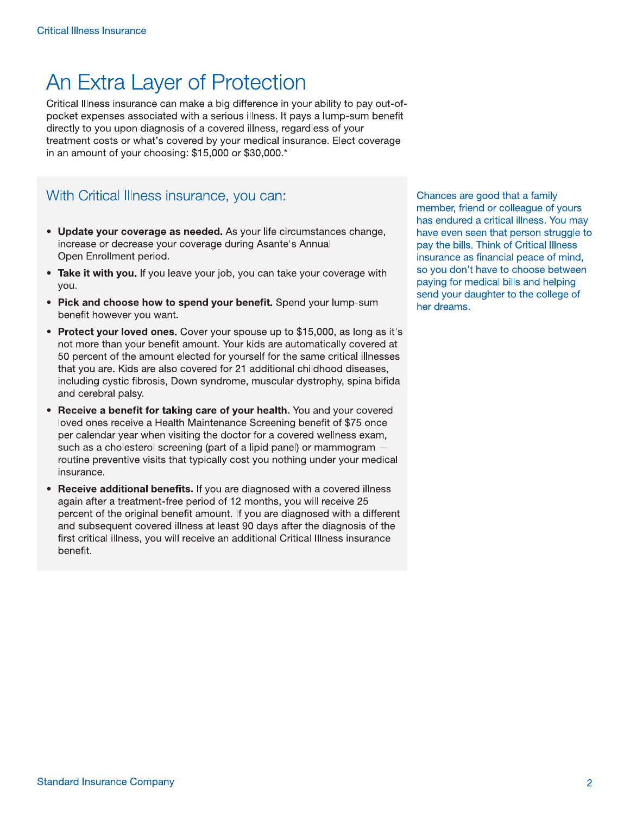# An Extra Layer of Protection

Critical Illness insurance can make a big difference in your ability to pay out-ofpocket expenses associated with a serious illness. It pays a lump-sum benefit directly to you upon diagnosis of a covered illness, regardless of your treatment costs or what's covered by your medical insurance. Elect coverage in an amount of your choosing: \$15,000 or \$30,000.\*

### With Critical Illness insurance, you can:

- Update your coverage as needed. As your life circumstances change, increase or decrease your coverage during Asante's Annual Open Enrollment period.
- Take it with you. If you leave your job, you can take your coverage with you.
- Pick and choose how to spend your benefit. Spend your lump-sum benefit however you want.
- Protect your loved ones. Cover your spouse up to \$15,000, as long as it's not more than your benefit amount. Your kids are automatically covered at 50 percent of the amount elected for yourself for the same critical illnesses that you are. Kids are also covered for 21 additional childhood diseases, including cystic fibrosis, Down syndrome, muscular dystrophy, spina bifida and cerebral palsy.
- Receive a benefit for taking care of your health. You and your covered loved ones receive a Health Maintenance Screening benefit of \$75 once per calendar year when visiting the doctor for a covered wellness exam, such as a cholesterol screening (part of a lipid panel) or mammogram routine preventive visits that typically cost you nothing under your medical insurance.
- Receive additional benefits. If you are diagnosed with a covered illness again after a treatment-free period of 12 months, you will receive 25 percent of the original benefit amount. If you are diagnosed with a different and subsequent covered illness at least 90 days after the diagnosis of the first critical illness, you will receive an additional Critical Illness insurance benefit.

Chances are good that a family member, friend or colleague of yours has endured a critical illness. You may have even seen that person struggle to pay the bills. Think of Critical Illness insurance as financial peace of mind, so you don't have to choose between paying for medical bills and helping send your daughter to the college of her dreams.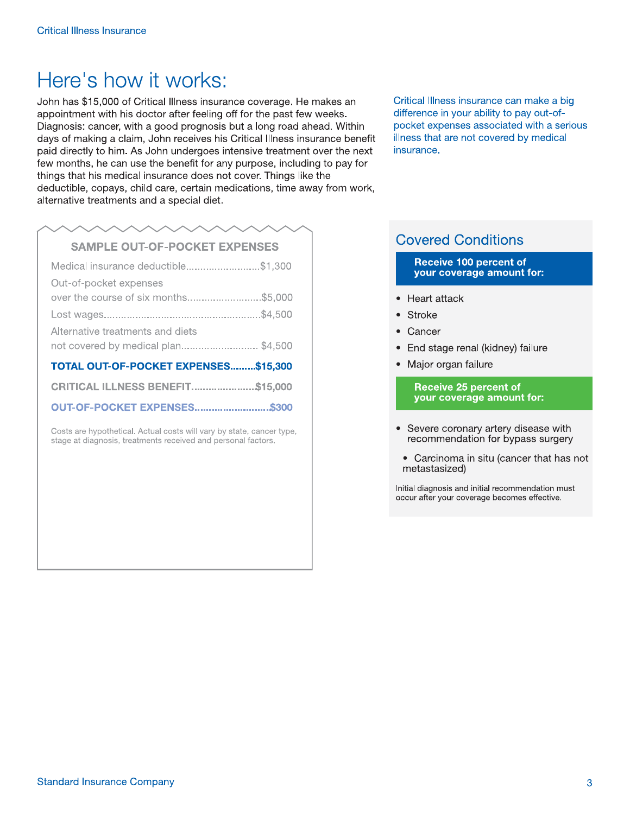# Here's how it works:

John has \$15,000 of Critical Illness insurance coverage. He makes an appointment with his doctor after feeling off for the past few weeks. Diagnosis: cancer, with a good prognosis but a long road ahead. Within days of making a claim, John receives his Critical Illness insurance benefit paid directly to him. As John undergoes intensive treatment over the next few months, he can use the benefit for any purpose, including to pay for things that his medical insurance does not cover. Things like the deductible, copays, child care, certain medications, time away from work, alternative treatments and a special diet.

# **SAMPLE OUT-OF-POCKET EXPENSES**

| Medical insurance deductible\$1,300     |  |
|-----------------------------------------|--|
| Out-of-pocket expenses                  |  |
| over the course of six months\$5,000    |  |
|                                         |  |
| Alternative treatments and diets        |  |
| not covered by medical plan\$4,500      |  |
| TOTAL OUT-OF-POCKET EXPENSES\$15,300    |  |
| <b>CRITICAL ILLNESS BENEFIT\$15,000</b> |  |
| <b>OUT-OF-POCKET EXPENSES\$300</b>      |  |

Costs are hypothetical. Actual costs will vary by state, cancer type, stage at diagnosis, treatments received and personal factors.

Critical Illness insurance can make a big difference in your ability to pay out-ofpocket expenses associated with a serious illness that are not covered by medical insurance.

## **Covered Conditions**

#### Receive 100 percent of your coverage amount for:

- Heart attack
- Stroke
- Cancer
- End stage renal (kidney) failure
- Major organ failure

**Receive 25 percent of** your coverage amount for:

- Severe coronary artery disease with recommendation for bypass surgery
- Carcinoma in situ (cancer that has not metastasized)

Initial diagnosis and initial recommendation must occur after your coverage becomes effective.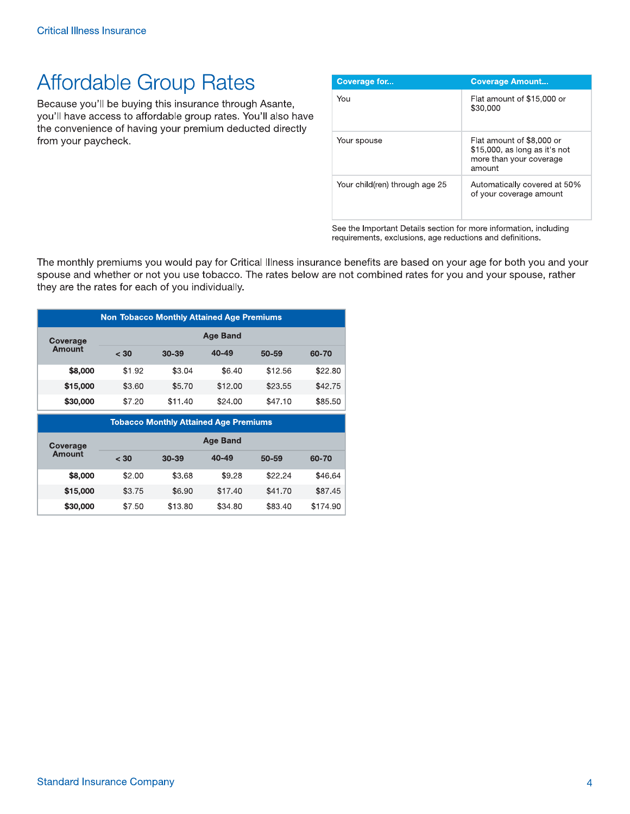# **Affordable Group Rates**

Because you'll be buying this insurance through Asante, you'll have access to affordable group rates. You'll also have the convenience of having your premium deducted directly from your paycheck.

| Coverage for                   | <b>Coverage Amount</b>                                                                          |
|--------------------------------|-------------------------------------------------------------------------------------------------|
| You                            | Flat amount of \$15,000 or<br>\$30,000                                                          |
| Your spouse                    | Flat amount of \$8,000 or<br>\$15,000, as long as it's not<br>more than your coverage<br>amount |
| Your child(ren) through age 25 | Automatically covered at 50%<br>of your coverage amount                                         |

See the Important Details section for more information, including requirements, exclusions, age reductions and definitions.

The monthly premiums you would pay for Critical Illness insurance benefits are based on your age for both you and your spouse and whether or not you use tobacco. The rates below are not combined rates for you and your spouse, rather they are the rates for each of you individually.

| <b>Non Tobacco Monthly Attained Age Premiums</b> |                 |           |           |         |         |
|--------------------------------------------------|-----------------|-----------|-----------|---------|---------|
| Coverage                                         | <b>Age Band</b> |           |           |         |         |
| Amount                                           | < 30            | $30 - 39$ | $40 - 49$ | 50-59   | 60-70   |
| \$8,000                                          | \$1.92          | \$3.04    | \$6.40    | \$12.56 | \$22.80 |
| \$15,000                                         | \$3.60          | \$5.70    | \$12.00   | \$23.55 | \$42.75 |
| \$30,000                                         | \$7.20          | \$11.40   | \$24.00   | \$47.10 | \$85.50 |
| <b>Tobacco Monthly Attained Age Premiums</b>     |                 |           |           |         |         |

| Coverage | <b>Age Band</b> |           |           |           |          |
|----------|-----------------|-----------|-----------|-----------|----------|
| Amount   | < 30            | $30 - 39$ | $40 - 49$ | $50 - 59$ | 60-70    |
| \$8,000  | \$2.00          | \$3.68    | \$9.28    | \$22.24   | \$46.64  |
| \$15,000 | \$3.75          | \$6.90    | \$17.40   | \$41.70   | \$87.45  |
| \$30,000 | \$7.50          | \$13.80   | \$34.80   | \$83.40   | \$174.90 |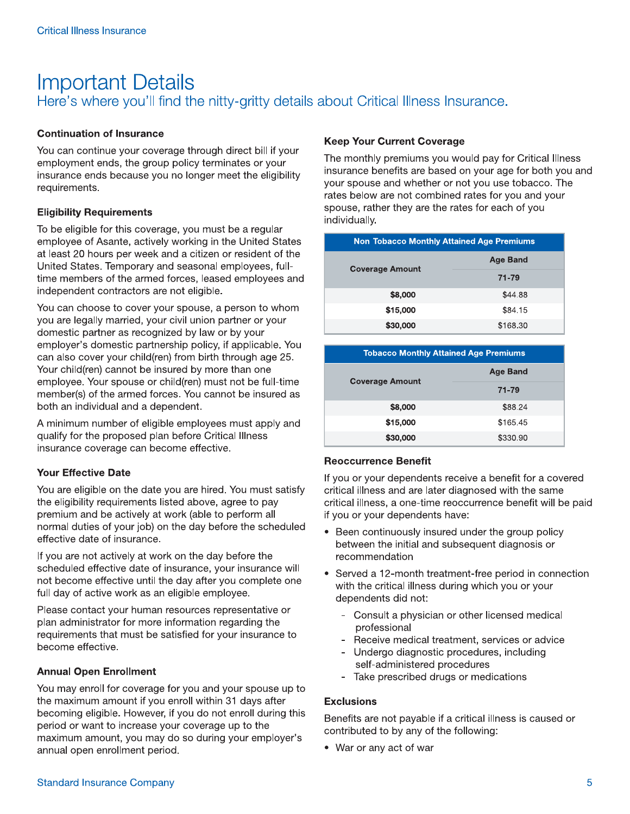# **Important Details** Here's where you'll find the nitty-gritty details about Critical Illness Insurance.

### **Continuation of Insurance**

You can continue your coverage through direct bill if your employment ends, the group policy terminates or your insurance ends because you no longer meet the eligibility requirements.

#### **Eligibility Requirements**

To be eligible for this coverage, you must be a regular employee of Asante, actively working in the United States at least 20 hours per week and a citizen or resident of the United States. Temporary and seasonal employees, fulltime members of the armed forces, leased employees and independent contractors are not eligible.

You can choose to cover your spouse, a person to whom you are legally married, your civil union partner or your domestic partner as recognized by law or by your employer's domestic partnership policy, if applicable. You can also cover your child(ren) from birth through age 25. Your child(ren) cannot be insured by more than one employee. Your spouse or child(ren) must not be full-time member(s) of the armed forces. You cannot be insured as both an individual and a dependent.

A minimum number of eligible employees must apply and qualify for the proposed plan before Critical Illness insurance coverage can become effective.

### **Your Effective Date**

You are eligible on the date you are hired. You must satisfy the eligibility requirements listed above, agree to pay premium and be actively at work (able to perform all normal duties of your job) on the day before the scheduled effective date of insurance.

If you are not actively at work on the day before the scheduled effective date of insurance, your insurance will not become effective until the day after you complete one full day of active work as an eligible employee.

Please contact your human resources representative or plan administrator for more information regarding the requirements that must be satisfied for your insurance to become effective.

#### **Annual Open Enrollment**

You may enroll for coverage for you and your spouse up to the maximum amount if you enroll within 31 days after becoming eligible. However, if you do not enroll during this period or want to increase your coverage up to the maximum amount, you may do so during your employer's annual open enrollment period.

### **Keep Your Current Coverage**

The monthly premiums you would pay for Critical Illness insurance benefits are based on your age for both you and your spouse and whether or not you use tobacco. The rates below are not combined rates for you and your spouse, rather they are the rates for each of you individually.

| <b>Non Tobacco Monthly Attained Age Premiums</b> |                 |  |
|--------------------------------------------------|-----------------|--|
| <b>Coverage Amount</b>                           | <b>Age Band</b> |  |
|                                                  | 71-79           |  |
| \$8,000                                          | \$44.88         |  |
| \$15,000                                         | \$84.15         |  |
| \$30,000                                         | \$168.30        |  |

| <b>Tobacco Monthly Attained Age Premiums</b> |                 |  |
|----------------------------------------------|-----------------|--|
| <b>Coverage Amount</b>                       | <b>Age Band</b> |  |
|                                              | 71-79           |  |
| \$8,000                                      | \$88.24         |  |
| \$15,000                                     | \$165.45        |  |
| \$30,000                                     | \$330.90        |  |

#### **Reoccurrence Benefit**

If you or your dependents receive a benefit for a covered critical illness and are later diagnosed with the same critical illness, a one-time reoccurrence benefit will be paid if you or your dependents have:

- Been continuously insured under the group policy between the initial and subsequent diagnosis or recommendation
- Served a 12-month treatment-free period in connection with the critical illness during which you or your dependents did not:
	- Consult a physician or other licensed medical professional
	- Receive medical treatment, services or advice
	- Undergo diagnostic procedures, including self-administered procedures
	- Take prescribed drugs or medications

#### **Exclusions**

Benefits are not payable if a critical illness is caused or contributed to by any of the following:

• War or any act of war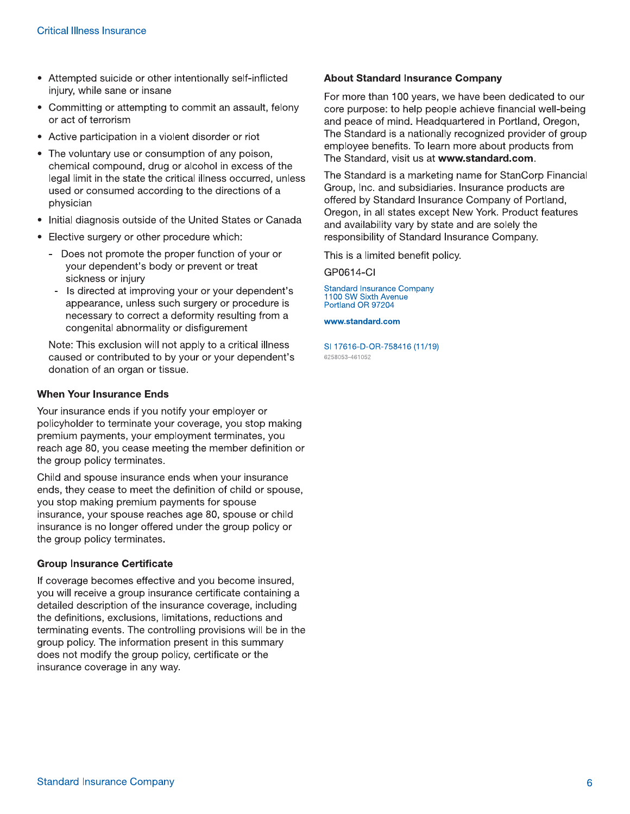- Attempted suicide or other intentionally self-inflicted injury, while sane or insane
- Committing or attempting to commit an assault, felony or act of terrorism
- Active participation in a violent disorder or riot
- The voluntary use or consumption of any poison, chemical compound, drug or alcohol in excess of the legal limit in the state the critical illness occurred, unless used or consumed according to the directions of a physician
- Initial diagnosis outside of the United States or Canada
- Elective surgery or other procedure which:
	- Does not promote the proper function of your or your dependent's body or prevent or treat sickness or injury
		- Is directed at improving your or your dependent's appearance, unless such surgery or procedure is necessary to correct a deformity resulting from a congenital abnormality or disfigurement

Note: This exclusion will not apply to a critical illness caused or contributed to by your or your dependent's donation of an organ or tissue.

#### **When Your Insurance Ends**

Your insurance ends if you notify your employer or policyholder to terminate your coverage, you stop making premium payments, your employment terminates, you reach age 80, you cease meeting the member definition or the group policy terminates.

Child and spouse insurance ends when your insurance ends, they cease to meet the definition of child or spouse, you stop making premium payments for spouse insurance, your spouse reaches age 80, spouse or child insurance is no longer offered under the group policy or the group policy terminates.

#### **Group Insurance Certificate**

If coverage becomes effective and you become insured, you will receive a group insurance certificate containing a detailed description of the insurance coverage, including the definitions, exclusions, limitations, reductions and terminating events. The controlling provisions will be in the group policy. The information present in this summary does not modify the group policy, certificate or the insurance coverage in any way.

#### **About Standard Insurance Company**

For more than 100 years, we have been dedicated to our core purpose: to help people achieve financial well-being and peace of mind. Headquartered in Portland, Oregon, The Standard is a nationally recognized provider of group employee benefits. To learn more about products from The Standard, visit us at www.standard.com.

The Standard is a marketing name for StanCorp Financial Group, Inc. and subsidiaries. Insurance products are offered by Standard Insurance Company of Portland, Oregon, in all states except New York. Product features and availability vary by state and are solely the responsibility of Standard Insurance Company.

This is a limited benefit policy.

GP0614-CI

**Standard Insurance Company** 1100 SW Sixth Avenue Portland OR 97204

www.standard.com

SI 17616-D-OR-758416 (11/19) 6258053-461052